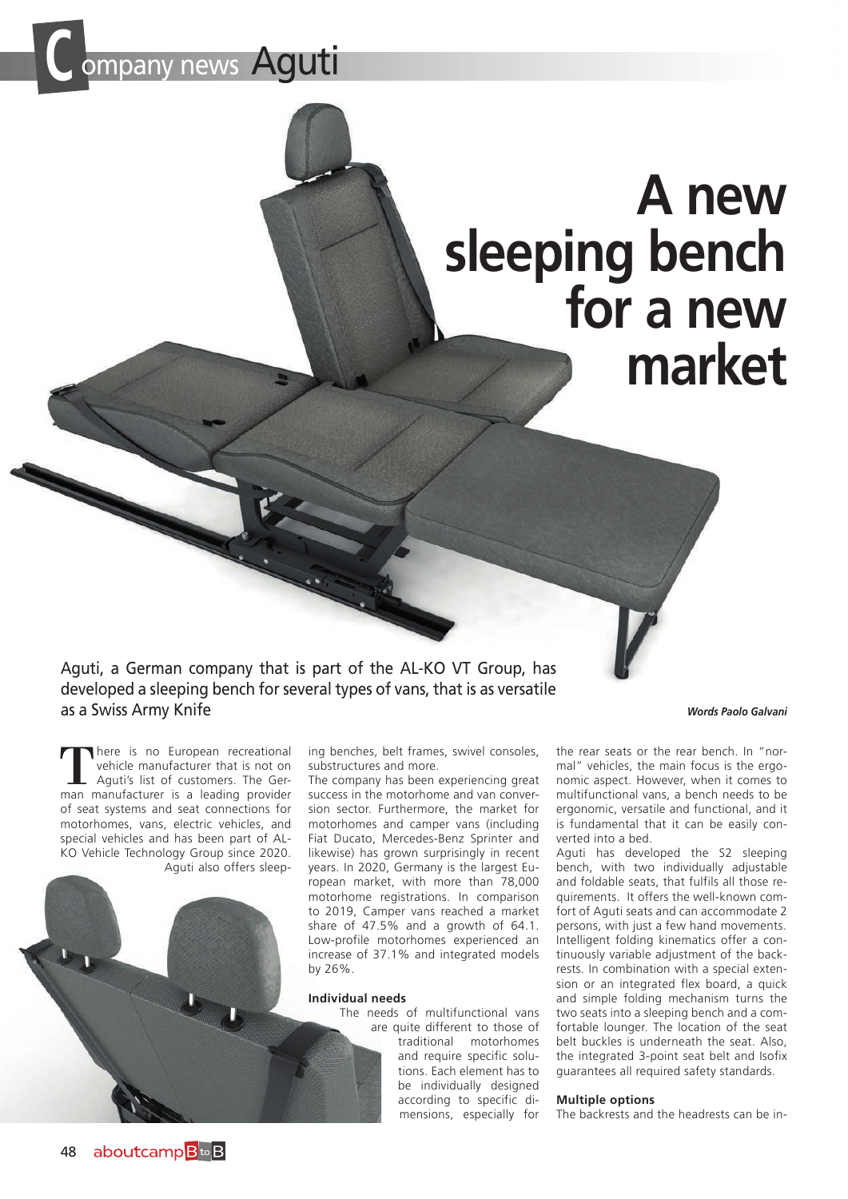# **C** ompany news Aguti

## **A new sleeping bench for a new market**

Aguti, a German company that is part of the AL-KO VT Group, has developed a sleeping bench for several types of vans, that is as versatile as a Swiss Army Knife

*Words Paolo Galvani*

There is no European recreational<br>
vehicle manufacturer that is not on<br>
Aguti's list of customers. The Ger-<br>
man manufacturer is a leading provider vehicle manufacturer that is not on man manufacturer is a leading provider of seat systems and seat connections for motorhomes, vans, electric vehicles, and special vehicles and has been part of AL-KO Vehicle Technology Group since 2020. Aguti also offers sleep-



ing benches, belt frames, swivel consoles, substructures and more.

The company has been experiencing great success in the motorhome and van conversion sector. Furthermore, the market for motorhomes and camper vans (including Fiat Ducato, Mercedes-Benz Sprinter and likewise) has grown surprisingly in recent years. In 2020, Germany is the largest European market, with more than 78,000 motorhome registrations. In comparison to 2019, Camper vans reached a market share of 47.5% and a growth of 64.1. Low-profile motorhomes experienced an increase of 37.1% and integrated models

#### **Individual needs**

The needs of multifunctional vans are quite different to those of traditional motorhomes and require specific solutions. Each element has to be individually designed according to specific dimensions, especially for

the rear seats or the rear bench. In "normal" vehicles, the main focus is the ergonomic aspect. However, when it comes to multifunctional vans, a bench needs to be ergonomic, versatile and functional, and it is fundamental that it can be easily converted into a bed.

Aguti has developed the S2 sleeping bench, with two individually adjustable and foldable seats, that fulfils all those requirements. It offers the well-known comfort of Aguti seats and can accommodate 2 persons, with just a few hand movements. Intelligent folding kinematics offer a continuously variable adjustment of the backrests. In combination with a special extension or an integrated flex board, a quick and simple folding mechanism turns the two seats into a sleeping bench and a comfortable lounger. The location of the seat belt buckles is underneath the seat. Also, the integrated 3-point seat belt and Isofix guarantees all required safety standards.

#### **Multiple options**

The backrests and the headrests can be in-